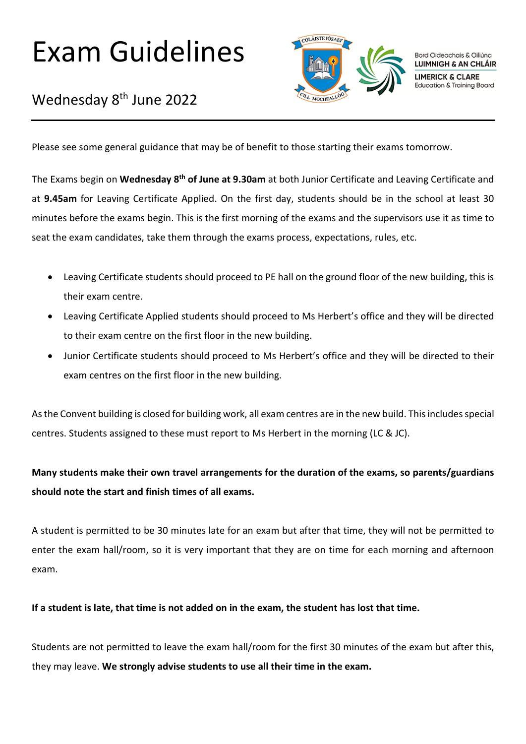# Exam Guidelines



Bord Oideachais & Oiliúna LUIMNIGH & AN CHLÁIR **LIMERICK & CLARE** Education & Training Board

### Wednesday 8<sup>th</sup> June 2022

Please see some general guidance that may be of benefit to those starting their exams tomorrow.

The Exams begin on **Wednesday 8th of June at 9.30am** at both Junior Certificate and Leaving Certificate and at **9.45am** for Leaving Certificate Applied. On the first day, students should be in the school at least 30 minutes before the exams begin. This is the first morning of the exams and the supervisors use it as time to seat the exam candidates, take them through the exams process, expectations, rules, etc.

- Leaving Certificate students should proceed to PE hall on the ground floor of the new building, this is their exam centre.
- Leaving Certificate Applied students should proceed to Ms Herbert's office and they will be directed to their exam centre on the first floor in the new building.
- Junior Certificate students should proceed to Ms Herbert's office and they will be directed to their exam centres on the first floor in the new building.

As the Convent building is closed for building work, all exam centres are in the new build. This includes special centres. Students assigned to these must report to Ms Herbert in the morning (LC & JC).

### **Many students make their own travel arrangements for the duration of the exams, so parents/guardians should note the start and finish times of all exams.**

A student is permitted to be 30 minutes late for an exam but after that time, they will not be permitted to enter the exam hall/room, so it is very important that they are on time for each morning and afternoon exam.

#### **If a student is late, that time is not added on in the exam, the student has lost that time.**

Students are not permitted to leave the exam hall/room for the first 30 minutes of the exam but after this, they may leave. **We strongly advise students to use all their time in the exam.**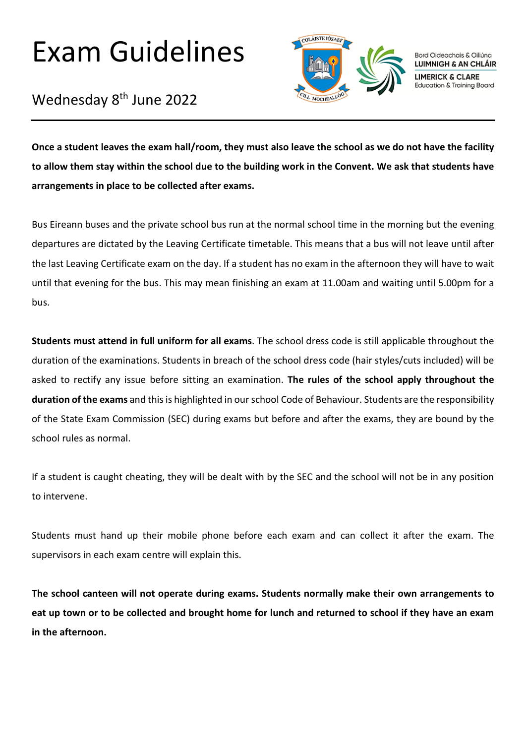## Exam Guidelines

Wednesday 8<sup>th</sup> June 2022



Bord Oideachais & Oiliúna LUIMNIGH & AN CHLÁIR **LIMERICK & CLARE Education & Training Board** 

**Once a student leaves the exam hall/room, they must also leave the school as we do not have the facility to allow them stay within the school due to the building work in the Convent. We ask that students have arrangements in place to be collected after exams.**

Bus Eireann buses and the private school bus run at the normal school time in the morning but the evening departures are dictated by the Leaving Certificate timetable. This means that a bus will not leave until after the last Leaving Certificate exam on the day. If a student has no exam in the afternoon they will have to wait until that evening for the bus. This may mean finishing an exam at 11.00am and waiting until 5.00pm for a bus.

**Students must attend in full uniform for all exams**. The school dress code is still applicable throughout the duration of the examinations. Students in breach of the school dress code (hair styles/cuts included) will be asked to rectify any issue before sitting an examination. **The rules of the school apply throughout the duration of the exams** and this is highlighted in our school Code of Behaviour. Students are the responsibility of the State Exam Commission (SEC) during exams but before and after the exams, they are bound by the school rules as normal.

If a student is caught cheating, they will be dealt with by the SEC and the school will not be in any position to intervene.

Students must hand up their mobile phone before each exam and can collect it after the exam. The supervisors in each exam centre will explain this.

**The school canteen will not operate during exams. Students normally make their own arrangements to eat up town or to be collected and brought home for lunch and returned to school if they have an exam in the afternoon.**